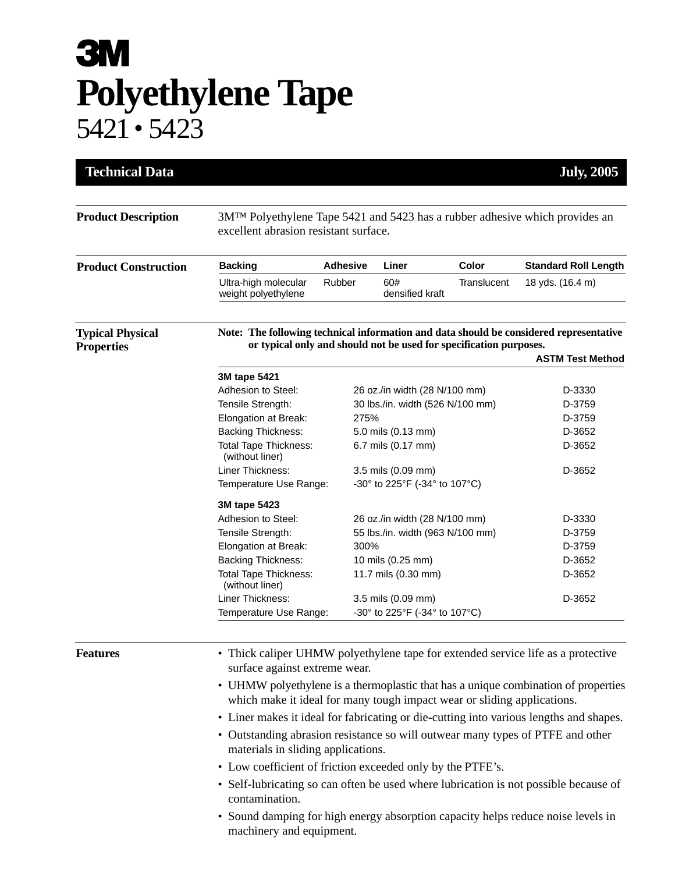## **3M Polyethylene Tape** 5421 • 5423

| <b>Technical Data</b>                        |                                                                                                                                                                                                                                                                                                                                                                                                                                                                                                                                                                                                                                                                                                                                                                                                 |                 |                                  |             | <b>July, 2005</b>           |  |
|----------------------------------------------|-------------------------------------------------------------------------------------------------------------------------------------------------------------------------------------------------------------------------------------------------------------------------------------------------------------------------------------------------------------------------------------------------------------------------------------------------------------------------------------------------------------------------------------------------------------------------------------------------------------------------------------------------------------------------------------------------------------------------------------------------------------------------------------------------|-----------------|----------------------------------|-------------|-----------------------------|--|
| <b>Product Description</b>                   | 3M <sup>TM</sup> Polyethylene Tape 5421 and 5423 has a rubber adhesive which provides an<br>excellent abrasion resistant surface.                                                                                                                                                                                                                                                                                                                                                                                                                                                                                                                                                                                                                                                               |                 |                                  |             |                             |  |
| <b>Product Construction</b>                  | <b>Backing</b>                                                                                                                                                                                                                                                                                                                                                                                                                                                                                                                                                                                                                                                                                                                                                                                  | <b>Adhesive</b> | Liner                            | Color       | <b>Standard Roll Length</b> |  |
|                                              | Ultra-high molecular<br>weight polyethylene                                                                                                                                                                                                                                                                                                                                                                                                                                                                                                                                                                                                                                                                                                                                                     | Rubber          | 60#<br>densified kraft           | Translucent | 18 yds. (16.4 m)            |  |
| <b>Typical Physical</b><br><b>Properties</b> | Note: The following technical information and data should be considered representative<br>or typical only and should not be used for specification purposes.<br><b>ASTM Test Method</b>                                                                                                                                                                                                                                                                                                                                                                                                                                                                                                                                                                                                         |                 |                                  |             |                             |  |
|                                              | 3M tape 5421                                                                                                                                                                                                                                                                                                                                                                                                                                                                                                                                                                                                                                                                                                                                                                                    |                 |                                  |             |                             |  |
|                                              | Adhesion to Steel:                                                                                                                                                                                                                                                                                                                                                                                                                                                                                                                                                                                                                                                                                                                                                                              |                 | 26 oz./in width (28 N/100 mm)    | D-3330      |                             |  |
|                                              | Tensile Strength:                                                                                                                                                                                                                                                                                                                                                                                                                                                                                                                                                                                                                                                                                                                                                                               |                 | 30 lbs./in. width (526 N/100 mm) | D-3759      |                             |  |
|                                              | Elongation at Break:                                                                                                                                                                                                                                                                                                                                                                                                                                                                                                                                                                                                                                                                                                                                                                            |                 | 275%                             | D-3759      |                             |  |
|                                              | <b>Backing Thickness:</b>                                                                                                                                                                                                                                                                                                                                                                                                                                                                                                                                                                                                                                                                                                                                                                       |                 | 5.0 mils (0.13 mm)               |             | D-3652                      |  |
|                                              | <b>Total Tape Thickness:</b><br>(without liner)                                                                                                                                                                                                                                                                                                                                                                                                                                                                                                                                                                                                                                                                                                                                                 |                 | 6.7 mils (0.17 mm)               |             | D-3652                      |  |
|                                              | Liner Thickness:                                                                                                                                                                                                                                                                                                                                                                                                                                                                                                                                                                                                                                                                                                                                                                                |                 | 3.5 mils (0.09 mm)               |             | D-3652                      |  |
|                                              | Temperature Use Range:                                                                                                                                                                                                                                                                                                                                                                                                                                                                                                                                                                                                                                                                                                                                                                          |                 | -30° to 225°F (-34° to 107°C)    |             |                             |  |
|                                              | 3M tape 5423                                                                                                                                                                                                                                                                                                                                                                                                                                                                                                                                                                                                                                                                                                                                                                                    |                 |                                  |             |                             |  |
|                                              | Adhesion to Steel:                                                                                                                                                                                                                                                                                                                                                                                                                                                                                                                                                                                                                                                                                                                                                                              |                 | 26 oz./in width (28 N/100 mm)    | D-3330      |                             |  |
|                                              | Tensile Strength:                                                                                                                                                                                                                                                                                                                                                                                                                                                                                                                                                                                                                                                                                                                                                                               |                 | 55 lbs./in. width (963 N/100 mm) | D-3759      |                             |  |
|                                              | Elongation at Break:                                                                                                                                                                                                                                                                                                                                                                                                                                                                                                                                                                                                                                                                                                                                                                            |                 | 300%                             | D-3759      |                             |  |
|                                              | <b>Backing Thickness:</b>                                                                                                                                                                                                                                                                                                                                                                                                                                                                                                                                                                                                                                                                                                                                                                       |                 | 10 mils (0.25 mm)                |             | D-3652                      |  |
|                                              | <b>Total Tape Thickness:</b><br>(without liner)                                                                                                                                                                                                                                                                                                                                                                                                                                                                                                                                                                                                                                                                                                                                                 |                 | 11.7 mils (0.30 mm)              |             | D-3652                      |  |
|                                              | Liner Thickness:                                                                                                                                                                                                                                                                                                                                                                                                                                                                                                                                                                                                                                                                                                                                                                                |                 | 3.5 mils (0.09 mm)               |             | D-3652                      |  |
|                                              | Temperature Use Range:                                                                                                                                                                                                                                                                                                                                                                                                                                                                                                                                                                                                                                                                                                                                                                          |                 | -30° to 225°F (-34° to 107°C)    |             |                             |  |
| <b>Features</b>                              | • Thick caliper UHMW polyethylene tape for extended service life as a protective<br>surface against extreme wear.<br>• UHMW polyethylene is a thermoplastic that has a unique combination of properties<br>which make it ideal for many tough impact wear or sliding applications.<br>• Liner makes it ideal for fabricating or die-cutting into various lengths and shapes.<br>• Outstanding abrasion resistance so will outwear many types of PTFE and other<br>materials in sliding applications.<br>• Low coefficient of friction exceeded only by the PTFE's.<br>• Self-lubricating so can often be used where lubrication is not possible because of<br>contamination.<br>Sound damping for high energy absorption capacity helps reduce noise levels in<br>٠<br>machinery and equipment. |                 |                                  |             |                             |  |